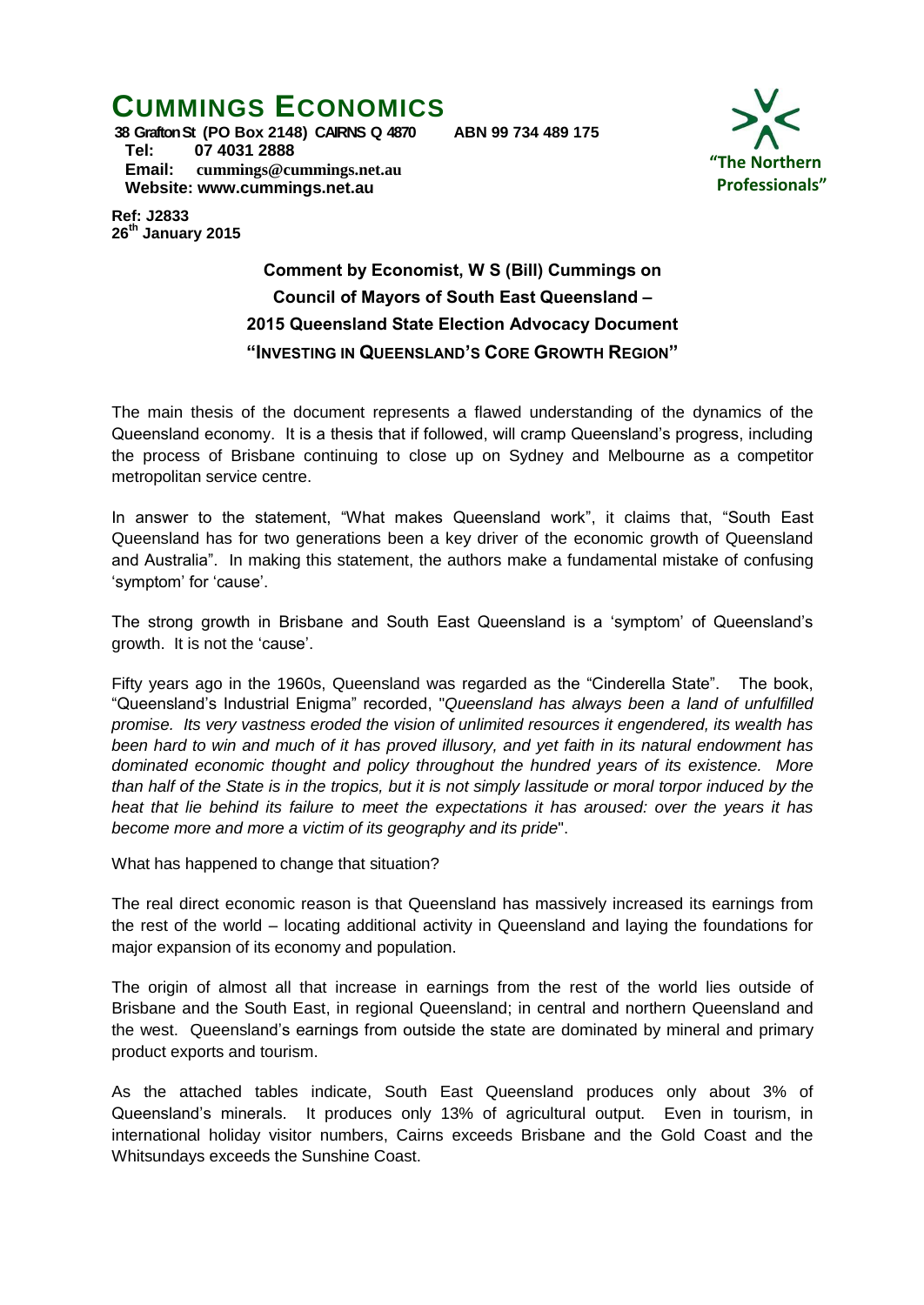# **CUMMINGS ECONOMICS**



**38 Grafton St (PO Box 2148) CAIRNS Q 4870 ABN 99 734 489 175 Tel: 07 4031 2888 Email: [cummings@cummings.net.au](mailto:cummings@cummings.net.au) Website: www.cummings.net.au**

**Ref: J2833 26 th January 2015**

> **Comment by Economist, W S (Bill) Cummings on Council of Mayors of South East Queensland – 2015 Queensland State Election Advocacy Document "INVESTING IN QUEENSLAND'S CORE GROWTH REGION"**

The main thesis of the document represents a flawed understanding of the dynamics of the Queensland economy. It is a thesis that if followed, will cramp Queensland's progress, including the process of Brisbane continuing to close up on Sydney and Melbourne as a competitor metropolitan service centre.

In answer to the statement, "What makes Queensland work", it claims that, "South East Queensland has for two generations been a key driver of the economic growth of Queensland and Australia". In making this statement, the authors make a fundamental mistake of confusing 'symptom' for 'cause'.

The strong growth in Brisbane and South East Queensland is a 'symptom' of Queensland's growth. It is not the 'cause'.

Fifty years ago in the 1960s, Queensland was regarded as the "Cinderella State". The book, "Queensland's Industrial Enigma" recorded, "*Queensland has always been a land of unfulfilled promise. Its very vastness eroded the vision of unlimited resources it engendered, its wealth has been hard to win and much of it has proved illusory, and yet faith in its natural endowment has dominated economic thought and policy throughout the hundred years of its existence. More than half of the State is in the tropics, but it is not simply lassitude or moral torpor induced by the heat that lie behind its failure to meet the expectations it has aroused: over the years it has become more and more a victim of its geography and its pride*".

What has happened to change that situation?

The real direct economic reason is that Queensland has massively increased its earnings from the rest of the world – locating additional activity in Queensland and laying the foundations for major expansion of its economy and population.

The origin of almost all that increase in earnings from the rest of the world lies outside of Brisbane and the South East, in regional Queensland; in central and northern Queensland and the west. Queensland's earnings from outside the state are dominated by mineral and primary product exports and tourism.

As the attached tables indicate, South East Queensland produces only about 3% of Queensland's minerals. It produces only 13% of agricultural output. Even in tourism, in international holiday visitor numbers, Cairns exceeds Brisbane and the Gold Coast and the Whitsundays exceeds the Sunshine Coast.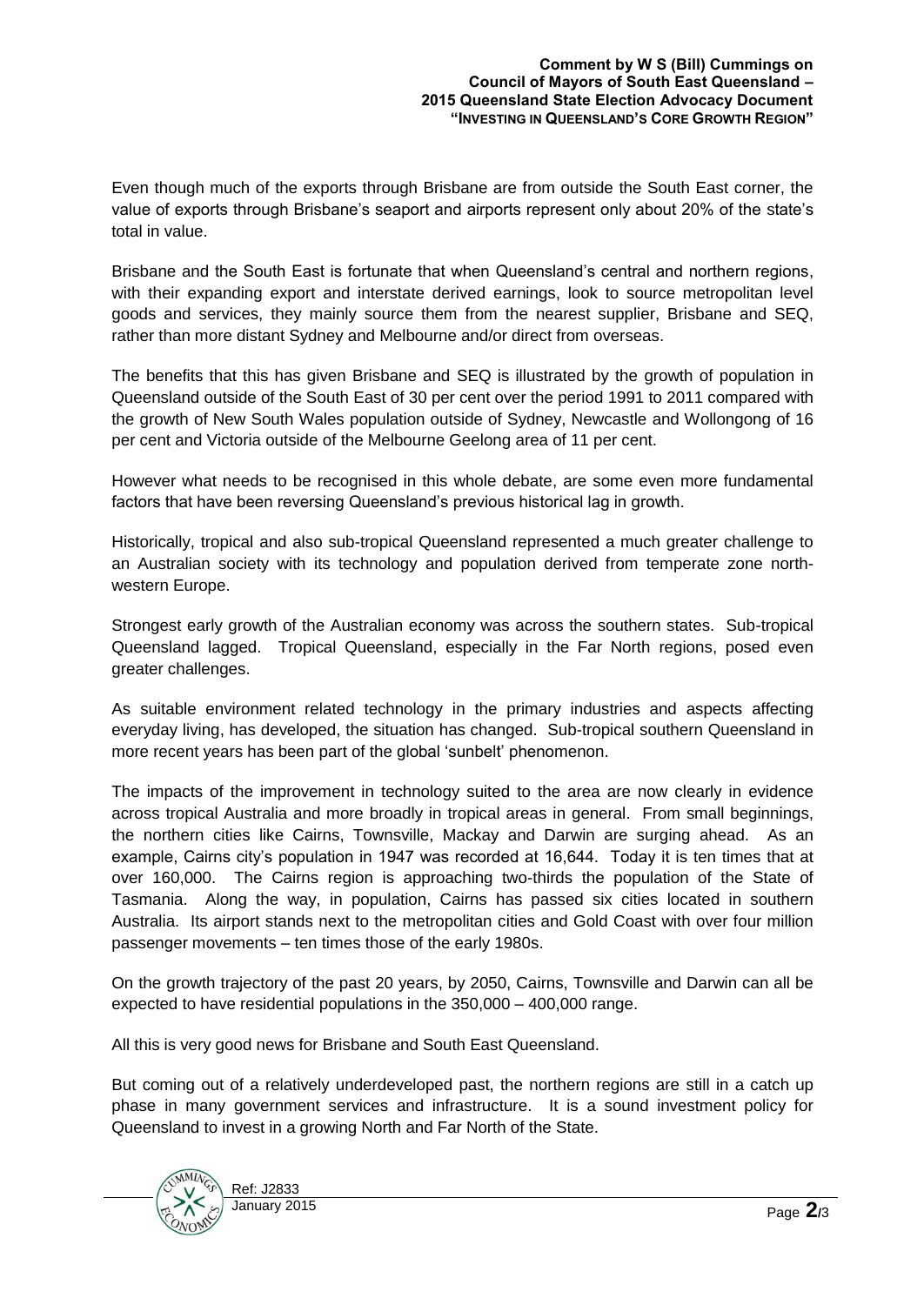Even though much of the exports through Brisbane are from outside the South East corner, the value of exports through Brisbane's seaport and airports represent only about 20% of the state's total in value.

Brisbane and the South East is fortunate that when Queensland's central and northern regions, with their expanding export and interstate derived earnings, look to source metropolitan level goods and services, they mainly source them from the nearest supplier, Brisbane and SEQ, rather than more distant Sydney and Melbourne and/or direct from overseas.

The benefits that this has given Brisbane and SEQ is illustrated by the growth of population in Queensland outside of the South East of 30 per cent over the period 1991 to 2011 compared with the growth of New South Wales population outside of Sydney, Newcastle and Wollongong of 16 per cent and Victoria outside of the Melbourne Geelong area of 11 per cent.

However what needs to be recognised in this whole debate, are some even more fundamental factors that have been reversing Queensland's previous historical lag in growth.

Historically, tropical and also sub-tropical Queensland represented a much greater challenge to an Australian society with its technology and population derived from temperate zone northwestern Europe.

Strongest early growth of the Australian economy was across the southern states. Sub-tropical Queensland lagged. Tropical Queensland, especially in the Far North regions, posed even greater challenges.

As suitable environment related technology in the primary industries and aspects affecting everyday living, has developed, the situation has changed. Sub-tropical southern Queensland in more recent years has been part of the global 'sunbelt' phenomenon.

The impacts of the improvement in technology suited to the area are now clearly in evidence across tropical Australia and more broadly in tropical areas in general. From small beginnings, the northern cities like Cairns, Townsville, Mackay and Darwin are surging ahead. As an example, Cairns city's population in 1947 was recorded at 16,644. Today it is ten times that at over 160,000. The Cairns region is approaching two-thirds the population of the State of Tasmania. Along the way, in population, Cairns has passed six cities located in southern Australia. Its airport stands next to the metropolitan cities and Gold Coast with over four million passenger movements – ten times those of the early 1980s.

On the growth trajectory of the past 20 years, by 2050, Cairns, Townsville and Darwin can all be expected to have residential populations in the 350,000 – 400,000 range.

All this is very good news for Brisbane and South East Queensland.

But coming out of a relatively underdeveloped past, the northern regions are still in a catch up phase in many government services and infrastructure. It is a sound investment policy for Queensland to invest in a growing North and Far North of the State.